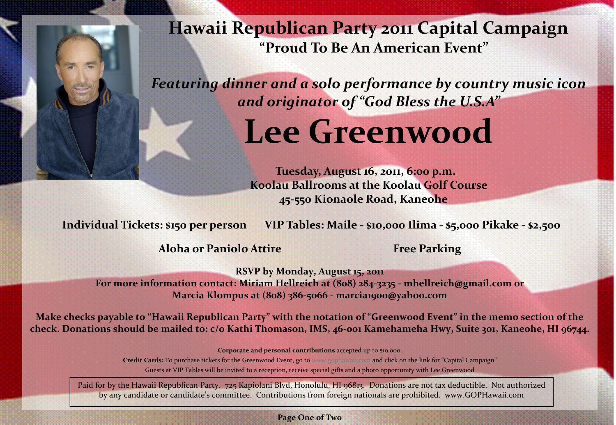**Hawaii Republican Party 2011 Capital Campaign "Proud To Be An American Event"**

*Featuring dinner and a solo performance by country music icon and originator of "God Bless the U.S.A"*

## **Lee Greenwood**

 **Tuesday, August 16, 2011, 6:00 p.m. Koolau Ballrooms at the Koolau Golf Course 45-550 Kionaole Road, Kaneohe** 

**Individual Tickets: \$150 per person VIP Tables: Maile - \$10,000 Ilima - \$5,000 Pikake - \$2,500** 

**Aloha or Paniolo Attire Free Parking** 

**RSVP by Monday, August 15, 2011 For more information contact: Miriam Hellreich at (808) 284-3235 - mhellreich@gmail.com or Marcia Klompus at (808) 386-5066 - marcia1900@yahoo.com** 

**Make checks payable to "Hawaii Republican Party" with the notation of "Greenwood Event" in the memo section of the check. Donations should be mailed to: c/o Kathi Thomason, IMS, 46-001 Kamehameha Hwy, Suite 301, Kaneohe, HI 96744.** 

**Corporate and personal contributions** accepted up to \$10,000.

**Credit Cards:** To purchase tickets for the Greenwood Event, go to [www.gophawaii.com](http://www.gophawaii.com) and click on the link for "Capital Campaign" Guests at VIP Tables will be invited to a reception, receive special gifts and a photo opportunity with Lee Greenwood

Paid for by the Hawaii Republican Party. 725 Kapiolani Blvd, Honolulu, HI 96813. Donations are not tax deductible. Not authorized by any candidate or candidate's committee. Contributions from foreign nationals are prohibited. www.GOPHawaii.com

**Page One of Two**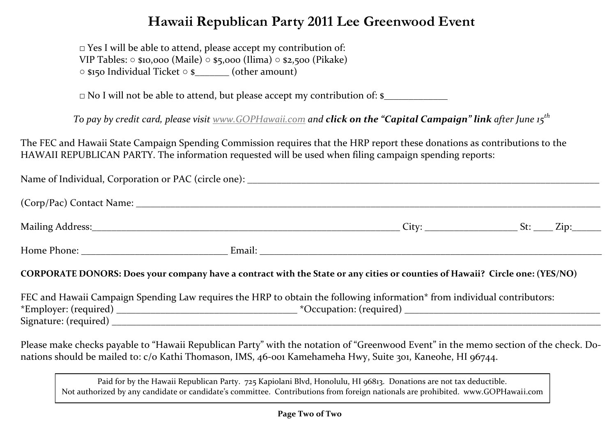## **Hawaii Republican Party 2011 Lee Greenwood Event**

**□** Yes I will be able to attend, please accept my contribution of: VIP Tables: ○ \$10,000 (Maile) ○ \$5,000 (Ilima) ○ \$2,500 (Pikake) ○ \$150 Individual Ticket ○ \$\_\_\_\_\_\_\_ (other amount)

**□** No I will not be able to attend, but please accept my contribution of: \$\_\_\_\_\_\_\_\_\_\_\_\_\_

*To pay by credit card, please visit [www.GOPHawaii.com](http://www.gophawaii.com) and click on the "Capital Campaign" link after June 15th*

The FEC and Hawaii State Campaign Spending Commission requires that the HRP report these donations as contributions to the HAWAII REPUBLICAN PARTY. The information requested will be used when filing campaign spending reports:

| CORPORATE DONORS: Does your company have a contract with the State or any cities or counties of Hawaii? Circle one: (YES/NO) |  |
|------------------------------------------------------------------------------------------------------------------------------|--|
| FEC and Hawaii Campaign Spending Law requires the HRP to obtain the following information* from individual contributors:     |  |

Please make checks payable to "Hawaii Republican Party" with the notation of "Greenwood Event" in the memo section of the check. Donations should be mailed to: c/o Kathi Thomason, IMS, 46-001 Kamehameha Hwy, Suite 301, Kaneohe, HI 96744.

Paid for by the Hawaii Republican Party. 725 Kapiolani Blvd, Honolulu, HI 96813. Donations are not tax deductible. Not authorized by any candidate or candidate's committee. Contributions from foreign nationals are prohibited. www.GOPHawaii.com